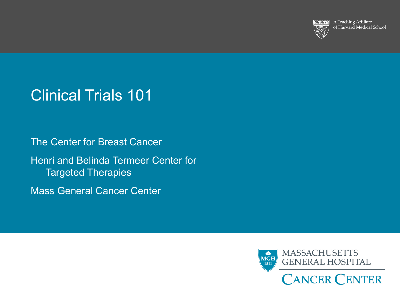

A Teaching Affiliate of Harvard Medical School

# Clinical Trials 101

The Center for Breast Cancer Henri and Belinda Termeer Center for Targeted Therapies

Mass General Cancer Center

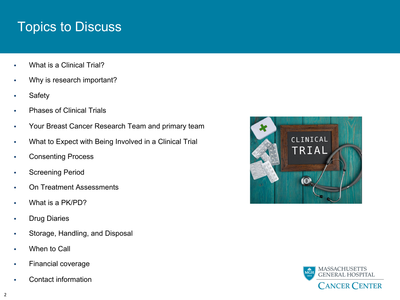# Topics to Discuss

- What is a Clinical Trial?
- Why is research important?
- **Safety**
- Phases of Clinical Trials
- Your Breast Cancer Research Team and primary team
- What to Expect with Being Involved in a Clinical Trial
- Consenting Process
- Screening Period
- On Treatment Assessments
- What is a PK/PD?
- Drug Diaries
- Storage, Handling, and Disposal
- When to Call
- Financial coverage
- Contact information



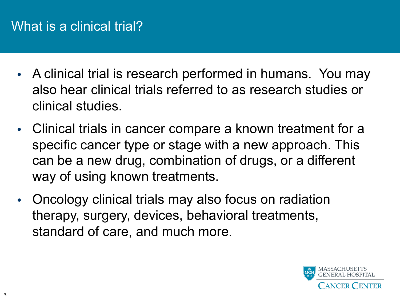### What is a clinical trial?

- A clinical trial is research performed in humans. You may also hear clinical trials referred to as research studies or clinical studies.
- Clinical trials in cancer compare a known treatment for a specific cancer type or stage with a new approach. This can be a new drug, combination of drugs, or a different way of using known treatments.
- Oncology clinical trials may also focus on radiation therapy, surgery, devices, behavioral treatments, standard of care, and much more.

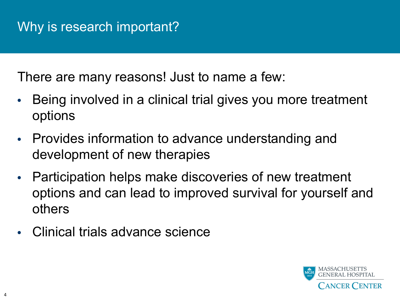There are many reasons! Just to name a few:

- Being involved in a clinical trial gives you more treatment options
- Provides information to advance understanding and development of new therapies
- Participation helps make discoveries of new treatment options and can lead to improved survival for yourself and others
- Clinical trials advance science

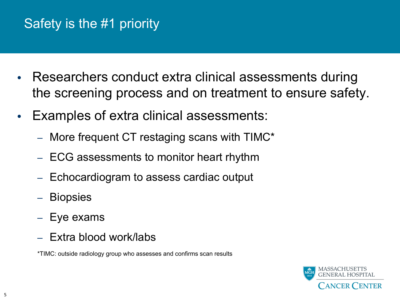# Safety is the #1 priority

- Researchers conduct extra clinical assessments during the screening process and on treatment to ensure safety.
- Examples of extra clinical assessments:
	- More frequent CT restaging scans with TIMC\*
	- ECG assessments to monitor heart rhythm
	- Echocardiogram to assess cardiac output
	- Biopsies
	- Eye exams
	- Extra blood work/labs

\*TIMC: outside radiology group who assesses and confirms scan results

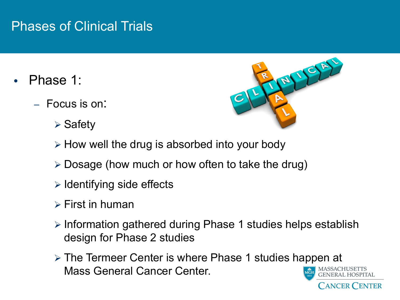### Phases of Clinical Trials

- Phase 1:
	- Focus is on:
		- $\triangleright$  Safety



**CANCER CENTER** 

- $\triangleright$  How well the drug is absorbed into your body
- $\triangleright$  Dosage (how much or how often to take the drug)
- $\triangleright$  Identifying side effects
- $\triangleright$  First in human
- $\triangleright$  Information gathered during Phase 1 studies helps establish design for Phase 2 studies
- $\triangleright$  The Termeer Center is where Phase 1 studies happen at Mass General Cancer Center.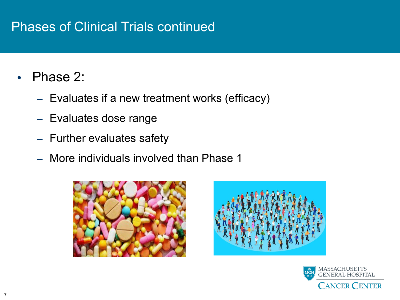### Phases of Clinical Trials continued

- Phase 2:
	- Evaluates if a new treatment works (efficacy)
	- Evaluates dose range
	- Further evaluates safety
	- More individuals involved than Phase 1





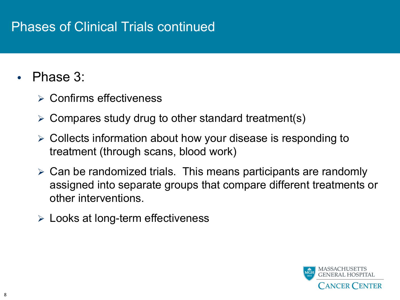### Phases of Clinical Trials continued

- Phase 3:
	- $\triangleright$  Confirms effectiveness
	- $\triangleright$  Compares study drug to other standard treatment(s)
	- $\triangleright$  Collects information about how your disease is responding to treatment (through scans, blood work)
	- $\triangleright$  Can be randomized trials. This means participants are randomly assigned into separate groups that compare different treatments or other interventions.
	- $\triangleright$  Looks at long-term effectiveness

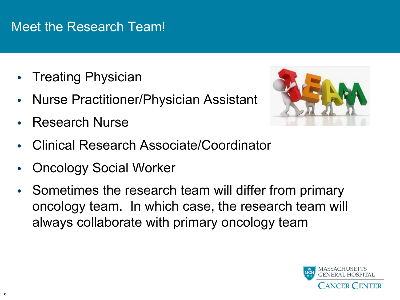### Meet the Research Team!

- Treating Physician
- Nurse Practitioner/Physician Assistant
- Research Nurse



- Clinical Research Associate/Coordinator
- Oncology Social Worker
- Sometimes the research team will differ from primary oncology team. In which case, the research team will always collaborate with primary oncology team

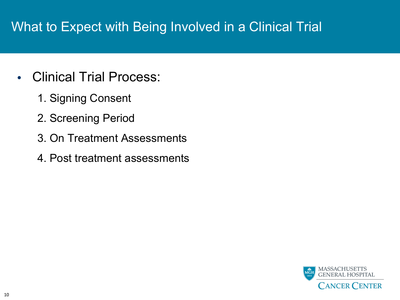# What to Expect with Being Involved in a Clinical Trial

- Clinical Trial Process:
	- 1. Signing Consent
	- 2. Screening Period
	- 3. On Treatment Assessments
	- 4. Post treatment assessments

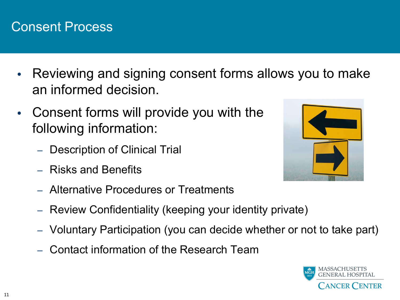#### Consent Process

- Reviewing and signing consent forms allows you to make an informed decision.
- Consent forms will provide you with the following information:
	- Description of Clinical Trial
	- Risks and Benefits
	- Alternative Procedures or Treatments
	- Review Confidentiality (keeping your identity private)
	- Voluntary Participation (you can decide whether or not to take part)
	- Contact information of the Research Team



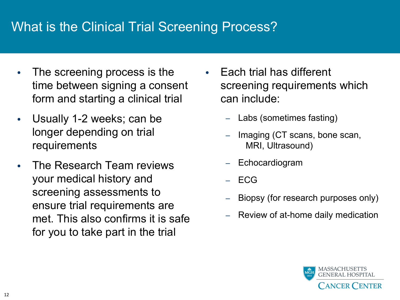## What is the Clinical Trial Screening Process?

- The screening process is the time between signing a consent form and starting a clinical trial
- Usually 1-2 weeks; can be longer depending on trial requirements
- The Research Team reviews your medical history and screening assessments to ensure trial requirements are met. This also confirms it is safe for you to take part in the trial
- Each trial has different screening requirements which can include:
	- Labs (sometimes fasting)
	- Imaging (CT scans, bone scan, MRI, Ultrasound)
	- **Echocardiogram**
	- ECG
	- Biopsy (for research purposes only)
	- Review of at-home daily medication

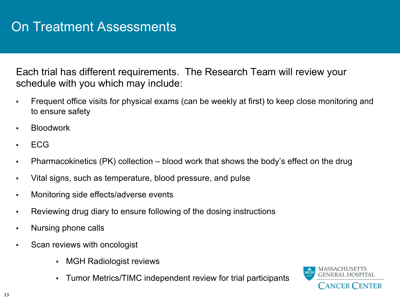Each trial has different requirements. The Research Team will review your schedule with you which may include:

- Frequent office visits for physical exams (can be weekly at first) to keep close monitoring and to ensure safety
- **Bloodwork**
- ECG
- Pharmacokinetics (PK) collection blood work that shows the body's effect on the drug
- Vital signs, such as temperature, blood pressure, and pulse
- Monitoring side effects/adverse events
- Reviewing drug diary to ensure following of the dosing instructions
- Nursing phone calls
- Scan reviews with oncologist
	- MGH Radiologist reviews
	- Tumor Metrics/TIMC independent review for trial participants

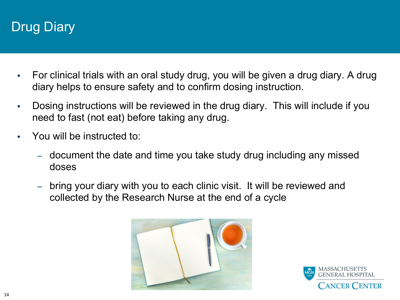# Drug Diary

- For clinical trials with an oral study drug, you will be given a drug diary. A drug diary helps to ensure safety and to confirm dosing instruction.
- Dosing instructions will be reviewed in the drug diary. This will include if you need to fast (not eat) before taking any drug.
- You will be instructed to:
	- document the date and time you take study drug including any missed doses
	- bring your diary with you to each clinic visit. It will be reviewed and collected by the Research Nurse at the end of a cycle



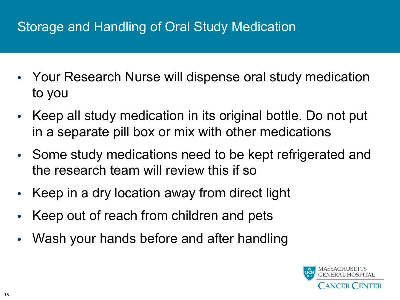# Storage and Handling of Oral Study Medication

- Your Research Nurse will dispense oral study medication to you
- Keep all study medication in its original bottle. Do not put in a separate pill box or mix with other medications
- Some study medications need to be kept refrigerated and the research team will review this if so
- Keep in a dry location away from direct light
- Keep out of reach from children and pets
- Wash your hands before and after handling

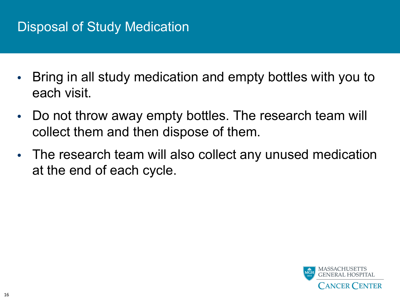# Disposal of Study Medication

- Bring in all study medication and empty bottles with you to each visit.
- Do not throw away empty bottles. The research team will collect them and then dispose of them.
- The research team will also collect any unused medication at the end of each cycle.

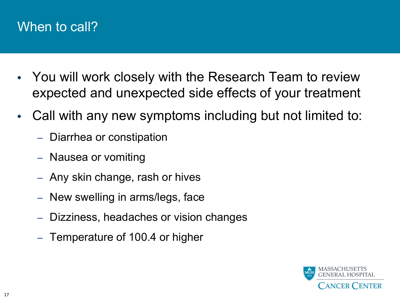#### When to call?

- You will work closely with the Research Team to review expected and unexpected side effects of your treatment
- Call with any new symptoms including but not limited to:
	- Diarrhea or constipation
	- Nausea or vomiting
	- Any skin change, rash or hives
	- New swelling in arms/legs, face
	- Dizziness, headaches or vision changes
	- Temperature of 100.4 or higher

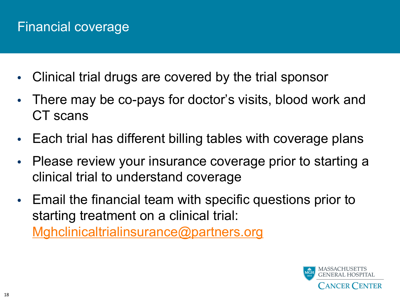# Financial coverage

- Clinical trial drugs are covered by the trial sponsor
- [There may be co-pays for doctor's visits](mailto:Mghclinicaltrialinsurance@partners.org), blood work CT scans
- Each trial has different billing tables with coverage p
- Please review your insurance coverage prior to start clinical trial to understand coverage
- Email the financial team with specific questions prior starting treatment on a clinical trial: Mghclinicaltrialinsurance@partners.org